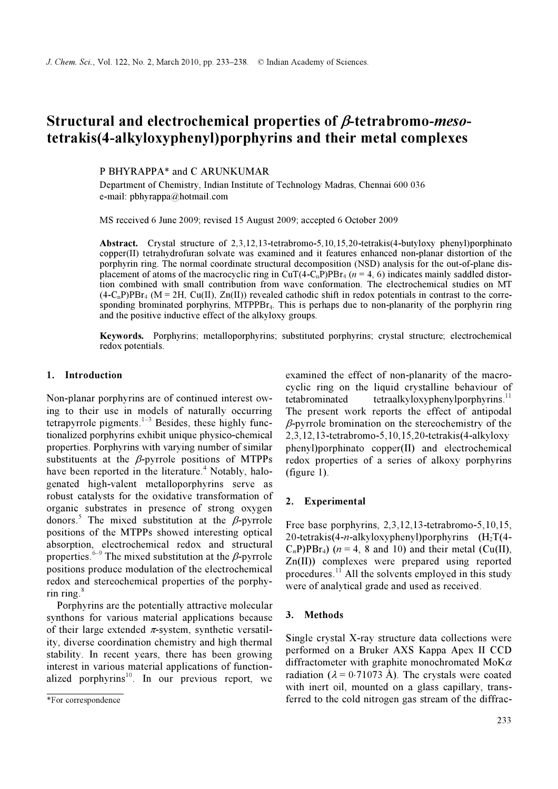# Structural and electrochemical properties of β-tetrabromo-mesotetrakis(4-alkyloxyphenyl)porphyrins and their metal complexes

P BHYRAPPA\* and C ARUNKUMAR

Department of Chemistry, Indian Institute of Technology Madras, Chennai 600 036 e-mail: pbhyrappa@hotmail.com

MS received 6 June 2009; revised 15 August 2009; accepted 6 October 2009

Abstract. Crystal structure of 2,3,12,13-tetrabromo-5,10,15,20-tetrakis(4-butyloxy phenyl)porphinato copper(II) tetrahydrofuran solvate was examined and it features enhanced non-planar distortion of the porphyrin ring. The normal coordinate structural decomposition (NSD) analysis for the out-of-plane displacement of atoms of the macrocyclic ring in CuT(4-C<sub>n</sub>P)PBr<sub>4</sub> ( $n = 4$ , 6) indicates mainly saddled distortion combined with small contribution from wave conformation. The electrochemical studies on MT  $(4-C<sub>n</sub>P)PBr<sub>4</sub>$  (M = 2H, Cu(II), Zn(II)) revealed cathodic shift in redox potentials in contrast to the corresponding brominated porphyrins,  $MTPPE<sub>14</sub>$ . This is perhaps due to non-planarity of the porphyrin ring and the positive inductive effect of the alkyloxy groups.

Keywords. Porphyrins; metalloporphyrins; substituted porphyrins; crystal structure; electrochemical redox potentials.

#### 1. Introduction

Non-planar porphyrins are of continued interest owing to their use in models of naturally occurring tetrapyrrole pigments. $1-3$  Besides, these highly functionalized porphyrins exhibit unique physico-chemical properties. Porphyrins with varying number of similar substituents at the  $\beta$ -pyrrole positions of MTPPs have been reported in the literature.<sup>4</sup> Notably, halogenated high-valent metalloporphyrins serve as robust catalysts for the oxidative transformation of organic substrates in presence of strong oxygen donors.<sup>5</sup> The mixed substitution at the  $\beta$ -pyrrole positions of the MTPPs showed interesting optical absorption, electrochemical redox and structural properties.<sup>6–9</sup> The mixed substitution at the  $\beta$ -pyrrole positions produce modulation of the electrochemical redox and stereochemical properties of the porphyrin ring. $8$ 

 Porphyrins are the potentially attractive molecular synthons for various material applications because of their large extended  $\pi$ -system, synthetic versatility, diverse coordination chemistry and high thermal stability. In recent years, there has been growing interest in various material applications of functionalized porphyrins<sup>10</sup>. In our previous report, we examined the effect of non-planarity of the macrocyclic ring on the liquid crystalline behaviour of tetabrominated tetraalkyloxyphenylporphyrins. $^{11}$ The present work reports the effect of antipodal  $\beta$ -pyrrole bromination on the stereochemistry of the 2,3,12,13-tetrabromo-5,10,15,20-tetrakis(4-alkyloxy phenyl)porphinato copper(II) and electrochemical redox properties of a series of alkoxy porphyrins (figure 1).

### 2. Experimental

Free base porphyrins, 2,3,12,13-tetrabromo-5,10,15, 20-tetrakis(4-n-alkyloxyphenyl)porphyrins  $(H_2T(4-))$  $C<sub>n</sub>P)PBr<sub>4</sub>$  ( $n = 4$ , 8 and 10) and their metal (Cu(II), Zn(II)) complexes were prepared using reported procedures.<sup>11</sup> All the solvents employed in this study were of analytical grade and used as received.

#### 3. Methods

Single crystal X-ray structure data collections were performed on a Bruker AXS Kappa Apex II CCD diffractometer with graphite monochromated MoK $\alpha$ radiation ( $\lambda = 0.71073$  Å). The crystals were coated with inert oil, mounted on a glass capillary, transferred to the cold nitrogen gas stream of the diffrac-

<sup>\*</sup>For correspondence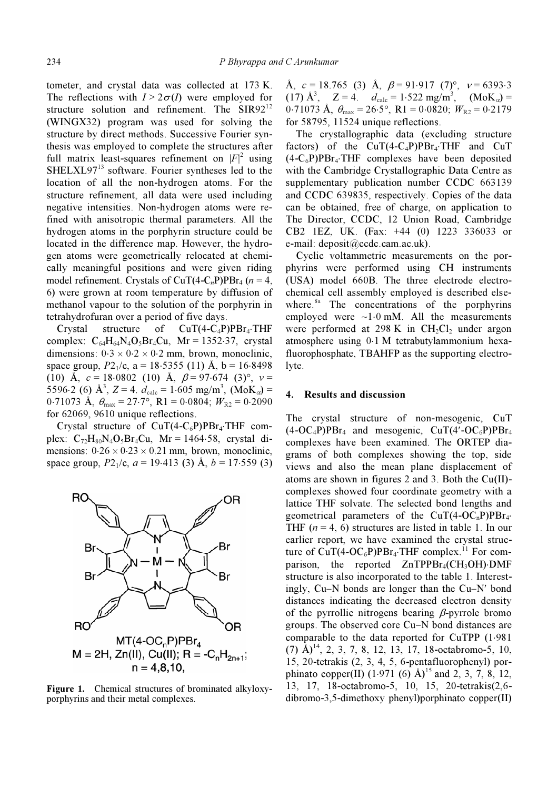tometer, and crystal data was collected at 173 K. The reflections with  $I > 2\sigma(I)$  were employed for structure solution and refinement. The  $SIR92<sup>12</sup>$ (WINGX32) program was used for solving the structure by direct methods. Successive Fourier synthesis was employed to complete the structures after full matrix least-squares refinement on  $|F|^2$  using SHELXL97<sup>13</sup> software. Fourier syntheses led to the location of all the non-hydrogen atoms. For the structure refinement, all data were used including negative intensities. Non-hydrogen atoms were refined with anisotropic thermal parameters. All the hydrogen atoms in the porphyrin structure could be located in the difference map. However, the hydrogen atoms were geometrically relocated at chemically meaningful positions and were given riding model refinement. Crystals of CuT(4-C<sub>n</sub>P)PBr<sub>4</sub> ( $n = 4$ , 6) were grown at room temperature by diffusion of methanol vapour to the solution of the porphyrin in tetrahydrofuran over a period of five days.

Crystal structure of  $CuT(4-C_4P)PBr_4\cdot THF$ complex:  $C_{64}H_{64}N_4O_5Br_4Cu$ ,  $Mr = 1352.37$ , crystal<br>dimensions: 0.2 u.0.2 u.0.2 mm, haven mesosalinia dimensions:  $0.3 \times 0.2 \times 0.2$  mm, brown, monoclinic, space group,  $P2_1/c$ , a = 18⋅5355 (11) Å, b = 16⋅8498 (10) Å,  $c = 18.0802$  (10) Å,  $\beta = 97.674$  (3)°,  $v =$ 5596⋅2 (6) Å<sup>3</sup>, Z = 4.  $d_{\text{calc}} = 1.605 \text{ mg/m}^3$ , (MoK<sub>α</sub>) = 0.71072 Å 0.3770 B1 0.000 ALL = 0.000 0.000 mg/m<sup>3</sup> 0⋅71073 Å,  $\theta_{\text{max}} = 27.7$ °, R1 = 0⋅0804;  $W_{R2} = 0.2090$ for 62069, 9610 unique reflections.

Crystal structure of  $CuT(4-C<sub>6</sub>P)PBr<sub>4</sub>·THF$  complex:  $C_{72}H_{80}N_4O_5Br_4Cu$ , Mr = 1464⋅58, crystal dimensions:  $0.26 \times 0.23 \times 0.21$  mm, brown, monoclinic, space group,  $P2_1/c$ ,  $a = 19.413$  (3) Å,  $b = 17.559$  (3)



Figure 1. Chemical structures of brominated alkyloxyporphyrins and their metal complexes.

Å,  $c = 18.765$  (3) Å,  $\beta = 91.917$  (7)°,  $v = 6393.3$ (17) Å<sup>3</sup>,  $Z = 4$ .  $d_{\text{calc}} = 1.522 \text{ mg/m}^3$ ,  $(MoK_{\alpha}) =$ 0⋅71073 Å,  $\theta_{\text{max}} = 26.5^\circ$ , R1 = 0⋅0820;  $W_{R2} = 0.2179$ for 58795, 11524 unique reflections.

 The crystallographic data (excluding structure factors) of the  $CuT(4-C_4P)PBr_4$ ·THF and  $CuT$  $(4-C_6P)PBr_4$ ·THF complexes have been deposited with the Cambridge Crystallographic Data Centre as supplementary publication number CCDC 663139 and CCDC 639835, respectively. Copies of the data can be obtained, free of charge, on application to The Director, CCDC, 12 Union Road, Cambridge CB2 1EZ, UK. (Fax: +44 (0) 1223 336033 or e-mail: deposit@ccdc.cam.ac.uk).

 Cyclic voltammetric measurements on the porphyrins were performed using CH instruments (USA) model 660B. The three electrode electrochemical cell assembly employed is described elsewhere.<sup>8a</sup> The concentrations of the porphyrins employed were ~1⋅0 mM. All the measurements were performed at 298 K in  $CH<sub>2</sub>Cl<sub>2</sub>$  under argon atmosphere using 0⋅1 M tetrabutylammonium hexafluorophosphate, TBAHFP as the supporting electrolyte.

#### 4. Results and discussion

The crystal structure of non-mesogenic, CuT  $(4\text{-}OC_4P)PBr_4$  and mesogenic,  $CuT(4'\text{-}OC_6P)PBr_4$ complexes have been examined. The ORTEP diagrams of both complexes showing the top, side views and also the mean plane displacement of atoms are shown in figures 2 and 3. Both the Cu(II) complexes showed four coordinate geometry with a lattice THF solvate. The selected bond lengths and geometrical parameters of the  $CuT(4-OC<sub>n</sub>P)PBr<sub>4</sub>$ THF  $(n = 4, 6)$  structures are listed in table 1. In our earlier report, we have examined the crystal structure of  $CuT(4-OC_6P)PBr_4$ ·THF complex.<sup>11</sup> For comparison, the reported  $ZnTPPBr_4(CH_3OH)$ ·DMF structure is also incorporated to the table 1. Interestingly, Cu–N bonds are longer than the Cu–N′ bond distances indicating the decreased electron density of the pyrrollic nitrogens bearing  $\beta$ -pyrrole bromo groups. The observed core Cu–N bond distances are comparable to the data reported for CuTPP (1⋅981  $(7)$  Å)<sup>14</sup>, 2, 3, 7, 8, 12, 13, 17, 18-octabromo-5, 10, 15, 20-tetrakis (2, 3, 4, 5, 6-pentafluorophenyl) porphinato copper(II)  $(1.971 (6)$  Å)<sup>15</sup> and 2, 3, 7, 8, 12, 13, 17, 18-octabromo-5, 10, 15, 20-tetrakis(2,6 dibromo-3,5-dimethoxy phenyl)porphinato copper(II)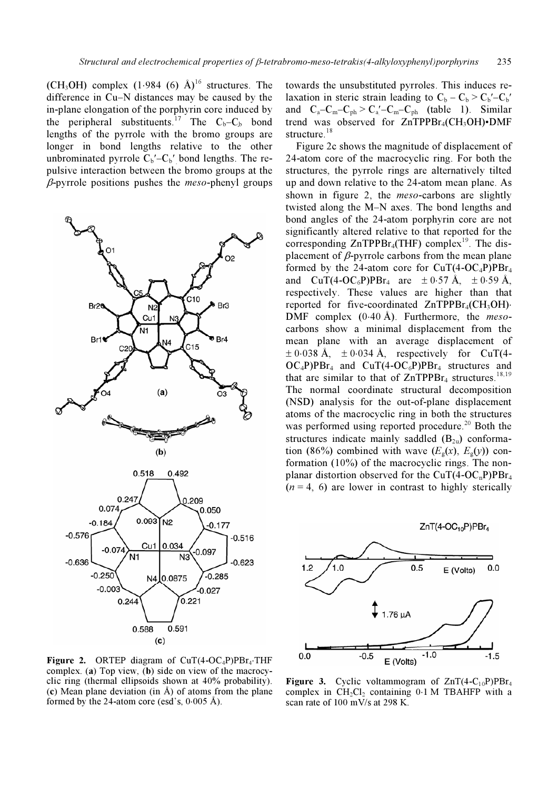(CH<sub>3</sub>OH) complex  $(1.984 \cdot 6)$  Å)<sup>16</sup> structures. The difference in Cu–N distances may be caused by the in-plane elongation of the porphyrin core induced by the peripheral substituents.<sup>17</sup> The  $C_b - C_b$  bond lengths of the pyrrole with the bromo groups are longer in bond lengths relative to the other unbrominated pyrrole  $\overline{C_b}'$ – $C_b'$  bond lengths. The repulsive interaction between the bromo groups at the  $\beta$ -pyrrole positions pushes the *meso*-phenyl groups



Figure 2. ORTEP diagram of  $CuT(4-OC_4P)PBr_4\cdot THF$ complex. (a) Top view, (b) side on view of the macrocyclic ring (thermal ellipsoids shown at 40% probability). (c) Mean plane deviation (in  $\AA$ ) of atoms from the plane formed by the 24-atom core (esd's,  $0.005 \text{ Å}$ ).

towards the unsubstituted pyrroles. This induces relaxation in steric strain leading to  $C_b - C_b > C_b' - C_b'$ and  $C_a - C_m - C_{ph} > C_a' - C_m - C_{ph}$  (table 1). Similar trend was observed for  $ZnTPPBr_4(CH_3OH) \cdot DMF$ structure.<sup>18</sup>

 Figure 2c shows the magnitude of displacement of 24-atom core of the macrocyclic ring. For both the structures, the pyrrole rings are alternatively tilted up and down relative to the 24-atom mean plane. As shown in figure 2, the *meso*-carbons are slightly twisted along the M–N axes. The bond lengths and bond angles of the 24-atom porphyrin core are not significantly altered relative to that reported for the corresponding  $ZnTPPBr<sub>4</sub>(THF)$  complex<sup>19</sup>. The displacement of  $\beta$ -pyrrole carbons from the mean plane formed by the 24-atom core for  $CuT(4-OC_4P)PBr_4$ and  $CuT(4-OC_6P)PBr_4$  are  $\pm 0.57 \text{ Å}$ ,  $\pm 0.59 \text{ Å}$ , respectively. These values are higher than that reported for five-coordinated ZnTPPBr<sub>4</sub>(CH<sub>3</sub>OH)⋅ DMF complex (0⋅40 Å). Furthermore, the mesocarbons show a minimal displacement from the mean plane with an average displacement of  $\pm 0.038$  Å,  $\pm 0.034$  Å, respectively for CuT(4- $OC_4P)PBr_4$  and  $CuT(4-OC_6P)PBr_4$  structures and that are similar to that of  $ZnTPPBr<sub>4</sub>$  structures.<sup>18,19</sup> The normal coordinate structural decomposition (NSD) analysis for the out-of-plane displacement atoms of the macrocyclic ring in both the structures was performed using reported procedure.<sup>20</sup> Both the structures indicate mainly saddled  $(B_{2u})$  conformation (86%) combined with wave  $(E_g(x), E_g(y))$  conformation (10%) of the macrocyclic rings. The nonplanar distortion observed for the  $CuT(4-OC<sub>n</sub>P)PBr<sub>4</sub>$  $(n = 4, 6)$  are lower in contrast to highly sterically



Figure 3. Cyclic voltammogram of  $ZnT(4-C_{10}P)PBr<sub>4</sub>$ complex in  $CH_2Cl_2$  containing 0⋅1 M TBAHFP with a scan rate of 100 mV/s at 298 K.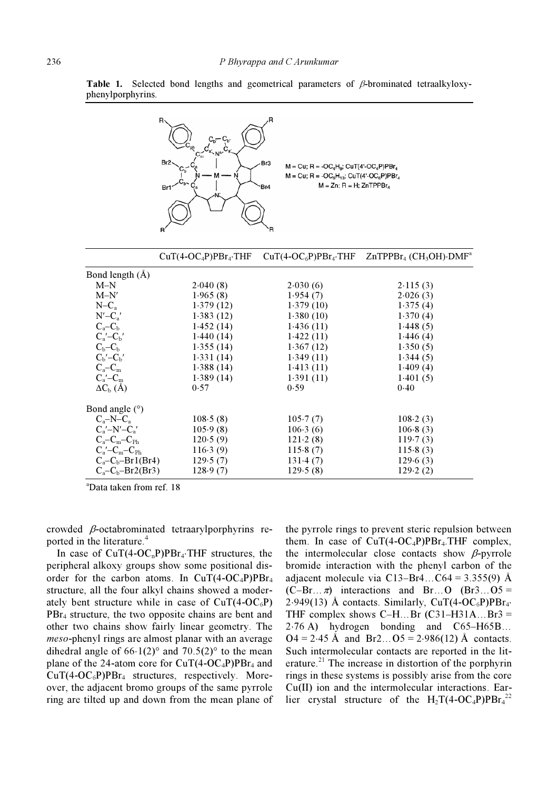

Table 1. Selected bond lengths and geometrical parameters of  $\beta$ -brominated tetraalkyloxyphenylporphyrins.

|                           | $CuT(4-OC_4P)PBr_4.THF$ |           | $CuT(4-OC6P)PBr4$ . THF $ZnTPPBr4 (CH3OH)$ . DMF <sup>a</sup> |  |
|---------------------------|-------------------------|-----------|---------------------------------------------------------------|--|
| Bond length $(A)$         |                         |           |                                                               |  |
| $M-N$                     | 2.040(8)                | 2.030(6)  | 2.115(3)                                                      |  |
| $M-N'$                    | 1.965(8)                | 1.954(7)  | 2.026(3)                                                      |  |
| $N-C_a$                   | 1.379(12)               | 1.379(10) | 1.375(4)                                                      |  |
| $N'-C_a'$                 | 1.383(12)               | 1.380(10) | 1.370(4)                                                      |  |
| $C_a-C_b$                 | 1.452(14)               | 1.436(11) | 1.448(5)                                                      |  |
| $C_a' - C_b'$             | 1.440(14)               | 1.422(11) | 1.446(4)                                                      |  |
| $C_{\rm b}$ - $C_{\rm b}$ | 1.355(14)               | 1.367(12) | 1.350(5)                                                      |  |
| $C_b' - C_b'$             | 1.331(14)               | 1.349(11) | 1.344(5)                                                      |  |
| $C_a-C_m$                 | 1.388(14)               | 1.413(11) | 1.409(4)                                                      |  |
| $C_a'$ – $C_m$            | 1.389(14)               | 1.391(11) | 1.401(5)                                                      |  |
| $\Delta C_{\rm b}$ (Å)    | 0.57                    | 0.59      | 0.40                                                          |  |
| Bond angle $(°)$          |                         |           |                                                               |  |
| $C_a-N-C_a$               | 108.5(8)                | 105.7(7)  | 108.2(3)                                                      |  |
| $C_a' - N' - C_a'$        | 105.9(8)                | 106.3(6)  | 106.8(3)                                                      |  |
| $C_a-C_m-C_{\rm Ph}$      | 120.5(9)                | 121.2(8)  | 119.7(3)                                                      |  |
| $C_a'$ – $C_m$ – $C_{Ph}$ | 116.3(9)                | 115.8(7)  | 115.8(3)                                                      |  |
| $C_a-C_b-Br1(Br4)$        | 129.5(7)                | 131.4(7)  | 129.6(3)                                                      |  |
| $C_a-C_b-Br2(Br3)$        | 128.9(7)                | 129.5(8)  | 129.2(2)                                                      |  |

a Data taken from ref. 18

crowded β-octabrominated tetraarylporphyrins reported in the literature.<sup>4</sup>

In case of  $CuT(4-OC<sub>n</sub>P)PBr<sub>4</sub>·THF$  structures, the peripheral alkoxy groups show some positional disorder for the carbon atoms. In  $CuT(4-OC_4P)PBr_4$ structure, all the four alkyl chains showed a moderately bent structure while in case of  $CuT(4-OC<sub>6</sub>P)$ PBr<sub>4</sub> structure, the two opposite chains are bent and other two chains show fairly linear geometry. The meso-phenyl rings are almost planar with an average dihedral angle of  $66·1(2)°$  and  $70.5(2)°$  to the mean plane of the 24-atom core for  $CuT(4-OC_4P)PBr_4$  and  $CuT(4-OC<sub>6</sub>P)PBr<sub>4</sub>$  structures, respectively. Moreover, the adjacent bromo groups of the same pyrrole ring are tilted up and down from the mean plane of

the pyrrole rings to prevent steric repulsion between them. In case of  $CuT(4-OC_4P)PBr_4.THF$  complex, the intermolecular close contacts show  $\beta$ -pyrrole bromide interaction with the phenyl carbon of the adjacent molecule via  $C13-Br4$ ... $C64 = 3.355(9)$  Å  $(C-Br... \pi)$  interactions and Br…O (Br3... O5 = 2⋅949(13) Å contacts. Similarly,  $CuT(4-OC<sub>6</sub>P)PBr<sub>4</sub>$ . THF complex shows  $C-H...Br (C31-H31A...Br3 =$ 2⋅76 A) hydrogen bonding and C65–H65B…  $Q_4 = 2.45$  Å and Br2… $Q_5 = 2.986(12)$  Å contacts. Such intermolecular contacts are reported in the literature.<sup>21</sup> The increase in distortion of the porphyrin rings in these systems is possibly arise from the core Cu(II) ion and the intermolecular interactions. Earlier crystal structure of the  $H_2T(4-OC_4P)PBr_4^{22}$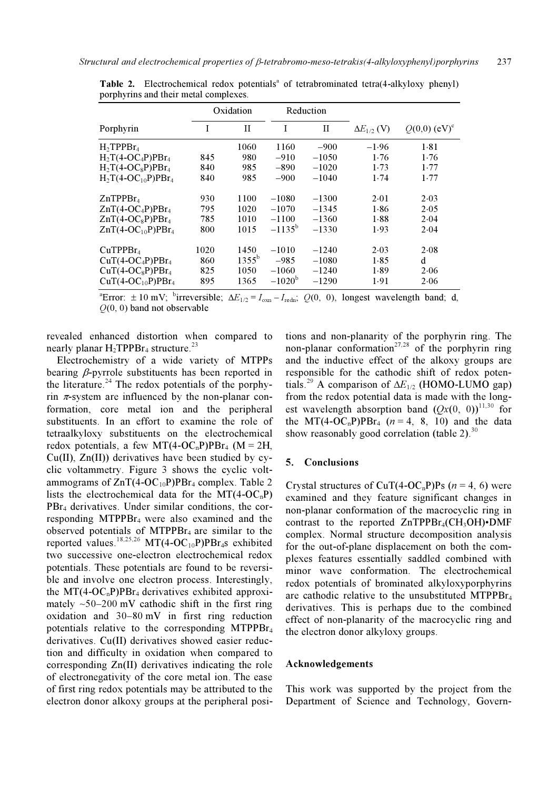|                         | Oxidation |                | Reduction       |              |                      |                            |
|-------------------------|-----------|----------------|-----------------|--------------|----------------------|----------------------------|
| Porphyrin               | I         | $\mathbf{I}$   | I               | $\mathbf{I}$ | $\Delta E_{1/2}$ (V) | $Q(0,0)$ (eV) <sup>c</sup> |
| $H_2TPPBr_4$            |           | 1060           | 1160            | $-900$       | $-1.96$              | 1.81                       |
| $H_2T(4-OC_4P)PBr_4$    | 845       | 980            | $-910$          | $-1050$      | 1.76                 | 1.76                       |
| $H_2T(4-OC_8P)PBr_4$    | 840       | 985            | $-890$          | $-1020$      | 1.73                 | 1.77                       |
| $H_2T(4-OC_{10}P)PBr_4$ | 840       | 985            | $-900$          | $-1040$      | 1.74                 | 1.77                       |
| ZnTPPBr <sub>4</sub>    | 930       | 1100           | $-1080$         | $-1300$      | 2.01                 | 2.03                       |
| $ZnT(4-OC_4P)PBr_4$     | 795       | 1020           | $-1070$         | $-1345$      | 1.86                 | 2.05                       |
| $ZnT(4-OC_8P)PBr_4$     | 785       | 1010           | $-1100$         | $-1360$      | 1.88                 | 2.04                       |
| $ZnT(4-OC_{10}P)PBr_4$  | 800       | 1015           | $-1135^{\rm b}$ | $-1330$      | 1.93                 | 2.04                       |
| CuTPPBr <sub>4</sub>    | 1020      | 1450           | $-1010$         | $-1240$      | 2.03                 | 2.08                       |
| $CuT(4-OC_4P)PBr_4$     | 860       | $1355^{\rm b}$ | $-985$          | $-1080$      | 1.85                 | d                          |
| $CuT(4-OC_8P)PBr4$      | 825       | 1050           | $-1060$         | $-1240$      | 1.89                 | 2.06                       |
| $CuT(4-OC_{10}P)PBr_4$  | 895       | 1365           | $-1020^{\rm b}$ | $-1290$      | 1.91                 | 2.06                       |

Table 2. Electrochemical redox potentials<sup>a</sup> of tetrabrominated tetra(4-alkyloxy phenyl) porphyrins and their metal complexes.

<sup>a</sup>Error:  $\pm 10$  mV; <sup>b</sup>irreversible;  $\Delta E_{1/2} = I_{\text{oxn}} - I_{\text{redn}}$ ; Q(0, 0), longest wavelength band; d,  $Q(0, 0)$  band not observable

revealed enhanced distortion when compared to nearly planar  $H_2$ TPPBr<sub>4</sub> structure.<sup>23</sup>

 Electrochemistry of a wide variety of MTPPs bearing  $\beta$ -pyrrole substituents has been reported in the literature.<sup>24</sup> The redox potentials of the porphyrin  $\pi$ -system are influenced by the non-planar conformation, core metal ion and the peripheral substituents. In an effort to examine the role of tetraalkyloxy substituents on the electrochemical redox potentials, a few MT(4-OC<sub>n</sub>P)PBr<sub>4</sub> (M = 2H, Cu(II), Zn(II)) derivatives have been studied by cyclic voltammetry. Figure 3 shows the cyclic voltammograms of  $ZnT(4-OC_{10}P)PBr_4$  complex. Table 2 lists the electrochemical data for the  $MT(4-OC<sub>n</sub>P)$ PBr4 derivatives. Under similar conditions, the corresponding MTPPBr4 were also examined and the observed potentials of MTPPB $r_4$  are similar to the reported values.<sup>18,25,26</sup> MT(4-OC<sub>10</sub>P)PBr<sub>4</sub>s exhibited two successive one-electron electrochemical redox potentials. These potentials are found to be reversible and involve one electron process. Interestingly, the MT(4-OC<sub>n</sub>P)PBr<sub>4</sub> derivatives exhibited approximately  $\sim$ 50–200 mV cathodic shift in the first ring oxidation and 30–80 mV in first ring reduction potentials relative to the corresponding MTPPBr4 derivatives. Cu(II) derivatives showed easier reduction and difficulty in oxidation when compared to corresponding Zn(II) derivatives indicating the role of electronegativity of the core metal ion. The ease of first ring redox potentials may be attributed to the electron donor alkoxy groups at the peripheral posi-

tions and non-planarity of the porphyrin ring. The non-planar conformation<sup>27,28</sup> of the porphyrin ring and the inductive effect of the alkoxy groups are responsible for the cathodic shift of redox potentials.<sup>29</sup> A comparison of  $\Delta E_{1/2}$  (HOMO-LUMO gap) from the redox potential data is made with the longest wavelength absorption band  $(Ox(0, 0))^{11,30}$  for the MT(4-OC<sub>n</sub>P)PBr<sub>4</sub> ( $n = 4$ , 8, 10) and the data show reasonably good correlation (table 2). $30$ 

## 5. Conclusions

Crystal structures of CuT(4-OC<sub>n</sub>P)Ps ( $n = 4$ , 6) were examined and they feature significant changes in non-planar conformation of the macrocyclic ring in contrast to the reported  $ZnTPPBr_4(CH_3OH) \cdot DMF$ complex. Normal structure decomposition analysis for the out-of-plane displacement on both the complexes features essentially saddled combined with minor wave conformation. The electrochemical redox potentials of brominated alkyloxyporphyrins are cathodic relative to the unsubstituted MTPPBr<sub>4</sub> derivatives. This is perhaps due to the combined effect of non-planarity of the macrocyclic ring and the electron donor alkyloxy groups.

## Acknowledgements

This work was supported by the project from the Department of Science and Technology, Govern